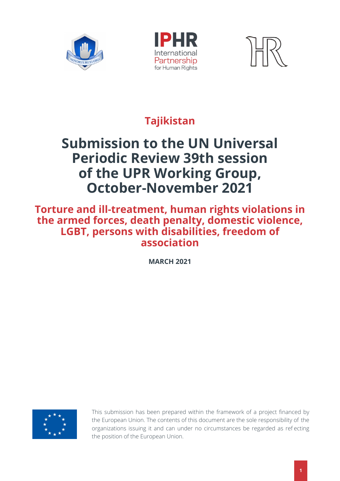





# **Tajikistan**

# **Submission to the UN Universal Periodic Review 39th session of the UPR Working Group, October-November 2021**

### **Torture and ill-treatment, human rights violations in the armed forces, death penalty, domestic violence, LGBT, persons with disabilities, freedom of association**

**MARCH 2021**



This submission has been prepared within the framework of a project financed by the European Union. The contents of this document are the sole responsibility of the organizations issuing it and can under no circumstances be regarded as ref ecting the position of the European Union.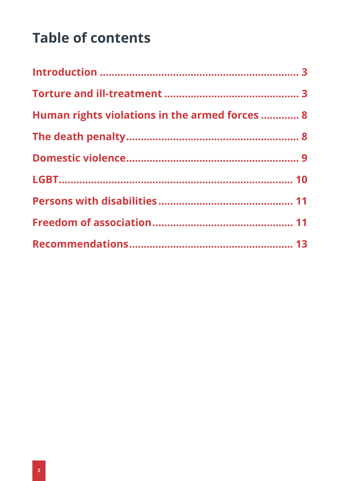# **Table of contents**

| Human rights violations in the armed forces  8 |  |
|------------------------------------------------|--|
|                                                |  |
|                                                |  |
|                                                |  |
|                                                |  |
|                                                |  |
|                                                |  |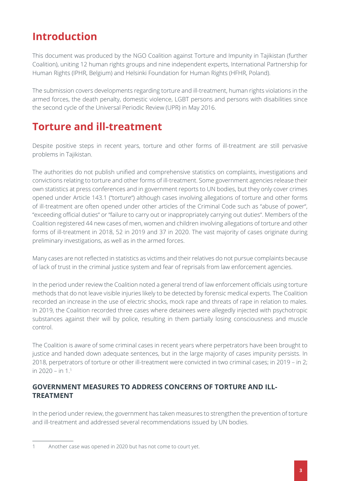### **Introduction**

This document was produced by the NGO Coalition against Torture and Impunity in Tajikistan (further Coalition), uniting 12 human rights groups and nine independent experts, International Partnership for Human Rights (IPHR, Belgium) and Helsinki Foundation for Human Rights (HFHR, Poland).

The submission covers developments regarding torture and ill-treatment, human rights violations in the armed forces, the death penalty, domestic violence, LGBT persons and persons with disabilities since the second cycle of the Universal Periodic Review (UPR) in May 2016.

### **Torture and ill-treatment**

Despite positive steps in recent years, torture and other forms of ill-treatment are still pervasive problems in Tajikistan.

The authorities do not publish unified and comprehensive statistics on complaints, investigations and convictions relating to torture and other forms of ill-treatment. Some government agencies release their own statistics at press conferences and in government reports to UN bodies, but they only cover crimes opened under Article 143.1 ("torture") although cases involving allegations of torture and other forms of ill-treatment are often opened under other articles of the Criminal Code such as "abuse of power", "exceeding official duties" or "failure to carry out or inappropriately carrying out duties". Members of the Coalition registered 44 new cases of men, women and children involving allegations of torture and other forms of ill-treatment in 2018, 52 in 2019 and 37 in 2020. The vast majority of cases originate during preliminary investigations, as well as in the armed forces.

Many cases are not reflected in statistics as victims and their relatives do not pursue complaints because of lack of trust in the criminal justice system and fear of reprisals from law enforcement agencies.

In the period under review the Coalition noted a general trend of law enforcement officials using torture methods that do not leave visible injuries likely to be detected by forensic medical experts. The Coalition recorded an increase in the use of electric shocks, mock rape and threats of rape in relation to males. In 2019, the Coalition recorded three cases where detainees were allegedly injected with psychotropic substances against their will by police, resulting in them partially losing consciousness and muscle control.

The Coalition is aware of some criminal cases in recent years where perpetrators have been brought to justice and handed down adequate sentences, but in the large majority of cases impunity persists. In 2018, perpetrators of torture or other ill-treatment were convicted in two criminal cases; in 2019 – in 2; in  $2020 - in 1<sup>1</sup>$ 

### **GOVERNMENT MEASURES TO ADDRESS CONCERNS OF TORTURE AND ILL-TREATMENT**

In the period under review, the government has taken measures to strengthen the prevention of torture and ill-treatment and addressed several recommendations issued by UN bodies.

<sup>1</sup> Another case was opened in 2020 but has not come to court yet.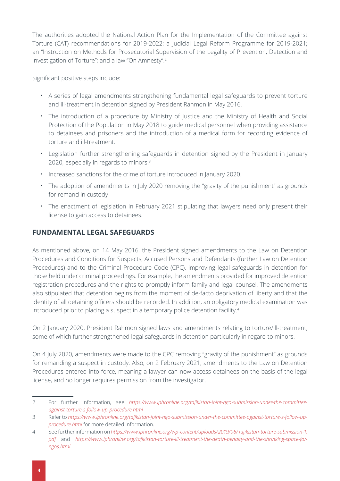The authorities adopted the National Action Plan for the Implementation of the Committee against Torture (CAT) recommendations for 2019-2022; a Judicial Legal Reform Programme for 2019-2021; an "Instruction on Methods for Prosecutorial Supervision of the Legality of Prevention, Detection and Investigation of Torture"; and a law "On Amnesty".2

Significant positive steps include:

- **·** A series of legal amendments strengthening fundamental legal safeguards to prevent torture and ill-treatment in detention signed by President Rahmon in May 2016.
- **·** The introduction of a procedure by Ministry of Justice and the Ministry of Health and Social Protection of the Population in May 2018 to guide medical personnel when providing assistance to detainees and prisoners and the introduction of a medical form for recording evidence of torture and ill-treatment.
- **·** Legislation further strengthening safeguards in detention signed by the President in January 2020, especially in regards to minors.<sup>3</sup>
- **·** Increased sanctions for the crime of torture introduced in January 2020.
- **·** The adoption of amendments in July 2020 removing the "gravity of the punishment" as grounds for remand in custody
- **·** The enactment of legislation in February 2021 stipulating that lawyers need only present their license to gain access to detainees.

### **FUNDAMENTAL LEGAL SAFEGUARDS**

As mentioned above, on 14 May 2016, the President signed amendments to the Law on Detention Procedures and Conditions for Suspects, Accused Persons and Defendants (further Law on Detention Procedures) and to the Criminal Procedure Code (CPC), improving legal safeguards in detention for those held under criminal proceedings. For example, the amendments provided for improved detention registration procedures and the rights to promptly inform family and legal counsel. The amendments also stipulated that detention begins from the moment of de-facto deprivation of liberty and that the identity of all detaining officers should be recorded. In addition, an obligatory medical examination was introduced prior to placing a suspect in a temporary police detention facility.<sup>4</sup>

On 2 January 2020, President Rahmon signed laws and amendments relating to torture/ill-treatment, some of which further strengthened legal safeguards in detention particularly in regard to minors.

On 4 July 2020, amendments were made to the CPC removing "gravity of the punishment" as grounds for remanding a suspect in custody. Also, on 2 February 2021, amendments to the Law on Detention Procedures entered into force, meaning a lawyer can now access detainees on the basis of the legal license, and no longer requires permission from the investigator.

<sup>2</sup> For further information, see *[https://www.iphronline.org/tajikistan-joint-ngo-submission-under-the-committee](https://www.iphronline.org/tajikistan-joint-ngo-submission-under-the-committee-against-torture-s-follow-up-procedure.html)[against-torture-s-follow-up-procedure.html](https://www.iphronline.org/tajikistan-joint-ngo-submission-under-the-committee-against-torture-s-follow-up-procedure.html)*

<sup>3</sup> Refer to *[https://www.iphronline.org/tajikistan-joint-ngo-submission-under-the-committee-against-torture-s-follow-up](https://www.iphronline.org/tajikistan-joint-ngo-submission-under-the-committee-against-torture-s-follow-up-procedure.html)[procedure.html](https://www.iphronline.org/tajikistan-joint-ngo-submission-under-the-committee-against-torture-s-follow-up-procedure.html)* for more detailed information.

<sup>4</sup> See further information on *[https://www.iphronline.org/wp-content/uploads/2019/06/Tajikistan-torture-submission-1.](https://www.iphronline.org/wp-content/uploads/2019/06/Tajikistan-torture-submission-1.pdf) [pdf](https://www.iphronline.org/wp-content/uploads/2019/06/Tajikistan-torture-submission-1.pdf)* and *[https://www.iphronline.org/tajikistan-torture-ill-treatment-the-death-penalty-and-the-shrinking-space-for](https://www.iphronline.org/tajikistan-torture-ill-treatment-the-death-penalty-and-the-shrinking-space-for-ngos.html)[ngos.html](https://www.iphronline.org/tajikistan-torture-ill-treatment-the-death-penalty-and-the-shrinking-space-for-ngos.html)*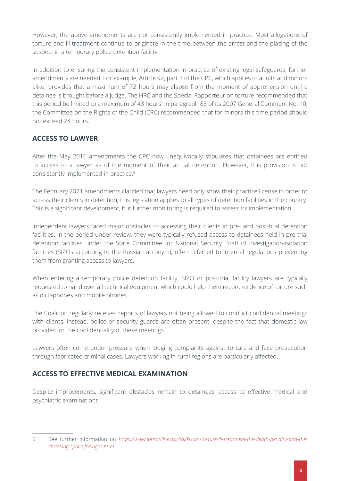However, the above amendments are not consistently implemented in practice. Most allegations of torture and ill-treatment continue to originate in the time between the arrest and the placing of the suspect in a temporary police detention facility.

In addition to ensuring the consistent implementation in practice of existing legal safeguards, further amendments are needed. For example, Article 92, part 3 of the CPC, which applies to adults and minors alike, provides that a maximum of 72 hours may elapse from the moment of apprehension until a detainee is brought before a judge. The HRC and the Special Rapporteur on torture recommended that this period be limited to a maximum of 48 hours. In paragraph 83 of its 2007 General Comment No. 10, the Committee on the Rights of the Child (CRC) recommended that for minors this time period should not exceed 24 hours.

### **ACCESS TO LAWYER**

After the May 2016 amendments the CPC now unequivocally stipulates that detainees are entitled to access to a lawyer as of the moment of their actual detention. However, this provision is not consistently implemented in practice.5

The February 2021 amendments clarified that lawyers need only show their practice license in order to access their clients in detention; this legislation applies to all types of detention facilities in the country. This is a significant development, but further monitoring is required to assess its implementation.

Independent lawyers faced major obstacles to accessing their clients in pre- and post-trial detention facilities. In the period under review, they were typically refused access to detainees held in pre-trial detention facilities under the State Committee for National Security. Staff of investigation-isolation facilities (SIZOs according to the Russian acronym), often referred to internal regulations preventing them from granting access to lawyers.

When entering a temporary police detention facility, SIZO or post-trial facility lawyers are typically requested to hand over all technical equipment which could help them record evidence of torture such as dictaphones and mobile phones.

The Coalition regularly receives reports of lawyers not being allowed to conduct confidential meetings with clients. Instead, police or security guards are often present, despite the fact that domestic law provides for the confidentiality of these meetings.

Lawyers often come under pressure when lodging complaints against torture and face prosecution through fabricated criminal cases. Lawyers working in rural regions are particularly affected.

### **ACCESS TO EFFECTIVE MEDICAL EXAMINATION**

Despite improvements, significant obstacles remain to detainees' access to effective medical and psychiatric examinations.

<sup>5</sup> See further information on *[https://www.iphronline.org/tajikistan-torture-ill-treatment-the-death-penalty-and-the](https://www.iphronline.org/tajikistan-torture-ill-treatment-the-death-penalty-and-the-shrinking-space-for-ngos.html)[shrinking-space-for-ngos.html](https://www.iphronline.org/tajikistan-torture-ill-treatment-the-death-penalty-and-the-shrinking-space-for-ngos.html)*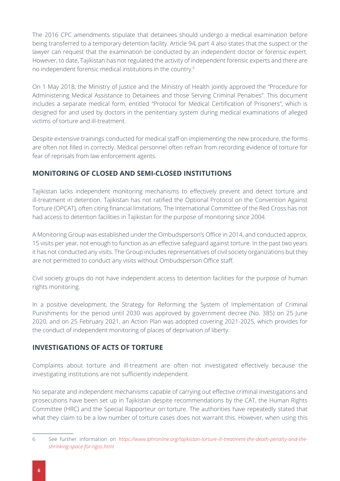The 2016 CPC amendments stipulate that detainees should undergo a medical examination before being transferred to a temporary detention facility. Article 94, part 4 also states that the suspect or the lawyer can request that the examination be conducted by an independent doctor or forensic expert. However, to date, Tajikistan has not regulated the activity of independent forensic experts and there are no independent forensic medical institutions in the country.6

On 1 May 2018, the Ministry of Justice and the Ministry of Health jointly approved the "Procedure for Administering Medical Assistance to Detainees and those Serving Criminal Penalties". This document includes a separate medical form, entitled "Protocol for Medical Certification of Prisoners", which is designed for and used by doctors in the penitentiary system during medical examinations of alleged victims of torture and ill-treatment.

Despite extensive trainings conducted for medical staff on implementing the new procedure, the forms are often not filled in correctly. Medical personnel often refrain from recording evidence of torture for fear of reprisals from law enforcement agents.

### **MONITORING OF CLOSED AND SEMI-CLOSED INSTITUTIONS**

Tajikistan lacks independent monitoring mechanisms to effectively prevent and detect torture and ill-treatment in detention. Tajikistan has not ratified the Optional Protocol on the Convention Against Torture (OPCAT), often citing financial limitations. The International Committee of the Red Cross has not had access to detention facilities in Tajikistan for the purpose of monitoring since 2004.

A Monitoring Group was established under the Ombudsperson's Office in 2014, and conducted approx. 15 visits per year, not enough to function as an effective safeguard against torture. In the past two years it has not conducted any visits. The Group includes representatives of civil society organizations but they are not permitted to conduct any visits without Ombudsperson Office staff.

Civil society groups do not have independent access to detention facilities for the purpose of human rights monitoring.

In a positive development, the Strategy for Reforming the System of Implementation of Criminal Punishments for the period until 2030 was approved by government decree (No. 385) on 25 June 2020, and on 25 February 2021, an Action Plan was adopted covering 2021-2025, which provides for the conduct of independent monitoring of places of deprivation of liberty.

### **INVESTIGATIONS OF ACTS OF TORTURE**

Complaints about torture and ill-treatment are often not investigated effectively because the investigating institutions are not sufficiently independent.

No separate and independent mechanisms capable of carrying out effective criminal investigations and prosecutions have been set up in Tajikistan despite recommendations by the CAT, the Human Rights Committee (HRC) and the Special Rapporteur on torture. The authorities have repeatedly stated that what they claim to be a low number of torture cases does not warrant this. However, when using this

<sup>6</sup> See further information on *[https://www.iphronline.org/tajikistan-torture-ill-treatment-the-death-penalty-and-the](https://www.iphronline.org/tajikistan-torture-ill-treatment-the-death-penalty-and-the-shrinking-space-for-ngos.html)[shrinking-space-for-ngos.html](https://www.iphronline.org/tajikistan-torture-ill-treatment-the-death-penalty-and-the-shrinking-space-for-ngos.html)*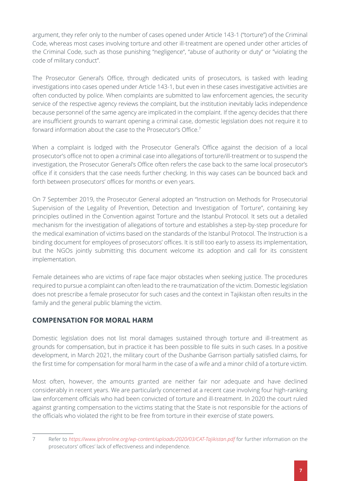argument, they refer only to the number of cases opened under Article 143-1 ("torture") of the Criminal Code, whereas most cases involving torture and other ill-treatment are opened under other articles of the Criminal Code, such as those punishing "negligence", "abuse of authority or duty" or "violating the code of military conduct".

The Prosecutor General's Office, through dedicated units of prosecutors, is tasked with leading investigations into cases opened under Article 143-1, but even in these cases investigative activities are often conducted by police. When complaints are submitted to law enforcement agencies, the security service of the respective agency reviews the complaint, but the institution inevitably lacks independence because personnel of the same agency are implicated in the complaint. If the agency decides that there are insufficient grounds to warrant opening a criminal case, domestic legislation does not require it to forward information about the case to the Prosecutor's Office.<sup>7</sup>

When a complaint is lodged with the Prosecutor General's Office against the decision of a local prosecutor's office not to open a criminal case into allegations of torture/ill-treatment or to suspend the investigation, the Prosecutor General's Office often refers the case back to the same local prosecutor's office if it considers that the case needs further checking. In this way cases can be bounced back and forth between prosecutors' offices for months or even years.

On 7 September 2019, the Prosecutor General adopted an "Instruction on Methods for Prosecutorial Supervision of the Legality of Prevention, Detection and Investigation of Torture", containing key principles outlined in the Convention against Torture and the Istanbul Protocol. It sets out a detailed mechanism for the investigation of allegations of torture and establishes a step-by-step procedure for the medical examination of victims based on the standards of the Istanbul Protocol. The Instruction is a binding document for employees of prosecutors' offices. It is still too early to assess its implementation, but the NGOs jointly submitting this document welcome its adoption and call for its consistent implementation.

Female detainees who are victims of rape face major obstacles when seeking justice. The procedures required to pursue a complaint can often lead to the re-traumatization of the victim. Domestic legislation does not prescribe a female prosecutor for such cases and the context in Tajikistan often results in the family and the general public blaming the victim.

### **COMPENSATION FOR MORAL HARM**

Domestic legislation does not list moral damages sustained through torture and ill-treatment as grounds for compensation, but in practice it has been possible to file suits in such cases. In a positive development, in March 2021, the military court of the Dushanbe Garrison partially satisfied claims, for the first time for compensation for moral harm in the case of a wife and a minor child of a torture victim.

Most often, however, the amounts granted are neither fair nor adequate and have declined considerably in recent years. We are particularly concerned at a recent case involving four high-ranking law enforcement officials who had been convicted of torture and ill-treatment. In 2020 the court ruled against granting compensation to the victims stating that the State is not responsible for the actions of the officials who violated the right to be free from torture in their exercise of state powers.

<sup>7</sup> Refer to *<https://www.iphronline.org/wp-content/uploads/2020/03/CAT-Tajikistan.pdf>* for further information on the prosecutors' offices' lack of effectiveness and independence.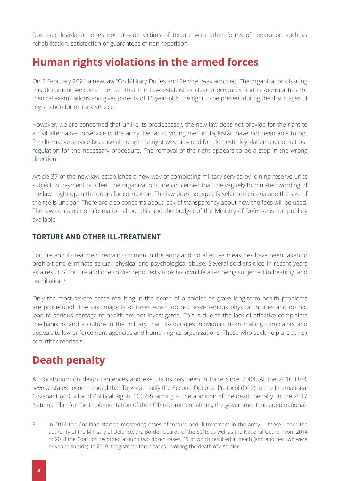Domestic legislation does not provide victims of torture with other forms of reparation such as rehabilitation, satisfaction or guarantees of non-repetition.

### **Human rights violations in the armed forces**

On 2 February 2021 a new law "On Military Duties and Service" was adopted. The organizations issuing this document welcome the fact that the Law establishes clear procedures and responsibilities for medical examinations and gives parents of 16-year-olds the right to be present during the first stages of registration for military service.

However, we are concerned that unlike its predecessor, the new law does not provide for the right to a civil alternative to service in the army. De facto, young men in Tajikistan have not been able to opt for alternative service because although the right was provided for, domestic legislation did not set out regulation for the necessary procedure. The removal of the right appears to be a step in the wrong direction.

Article 37 of the new law establishes a new way of completing military service by joining reserve units subject to payment of a fee. The organizations are concerned that the vaguely formulated wording of the law might open the doors for corruption. The law does not specify selection criteria and the size of the fee is unclear. There are also concerns about lack of transparency about how the fees will be used. The law contains no information about this and the budget of the Ministry of Defense is not publicly available.

#### **TORTURE AND OTHER ILL-TREATMENT**

Torture and ill-treatment remain common in the army and no effective measures have been taken to prohibit and eliminate sexual, physical and psychological abuse. Several soldiers died in recent years as a result of torture and one soldier reportedly took his own life after being subjected to beatings and humiliation.8

Only the most severe cases resulting in the death of a soldier or grave long-term health problems are prosecuted. The vast majority of cases which do not leave serious physical injuries and do not lead to serious damage to health are not investigated. This is due to the lack of effective complaints mechanisms and a culture in the military that discourages individuals from making complaints and appeals to law enforcement agencies and human rights organizations. Those who seek help are at risk of further reprisals.

### **Death penalty**

A moratorium on death sentences and executions has been in force since 2004. At the 2016 UPR, several states recommended that Tajikistan ratify the Second Optional Protocol (OP2) to the International Covenant on Civil and Political Rights (ICCPR), aiming at the abolition of the death penalty. In the 2017 National Plan for the Implementation of the UPR recommendations, the government included national-

<sup>8</sup> In 2014 the Coalition started registering cases of torture and ill-treatment in the army -- those under the authority of the Ministry of Defence, the Border Guards of the SCNS as well as the National Guard. From 2014 to 2018 the Coalition recorded around two dozen cases, 19 of which resulted in death (and another two were driven to suicide). In 2019 it registered three cases involving the death of a soldier.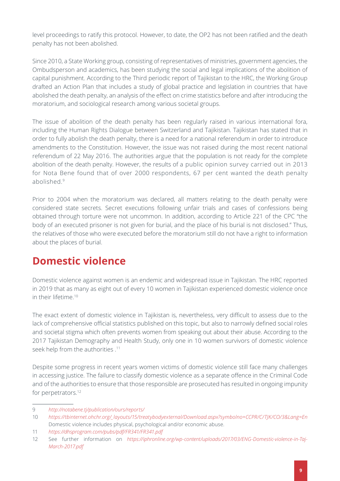level proceedings to ratify this protocol. However, to date, the OP2 has not been ratified and the death penalty has not been abolished.

Since 2010, a State Working group, consisting of representatives of ministries, government agencies, the Ombudsperson and academics, has been studying the social and legal implications of the abolition of capital punishment. According to the Third periodic report of Tajikistan to the HRC, the Working Group drafted an Action Plan that includes a study of global practice and legislation in countries that have abolished the death penalty, an analysis of the effect on crime statistics before and after introducing the moratorium, and sociological research among various societal groups.

The issue of abolition of the death penalty has been regularly raised in various international fora, including the Human Rights Dialogue between Switzerland and Tajikistan. Tajikistan has stated that in order to fully abolish the death penalty, there is a need for a national referendum in order to introduce amendments to the Constitution. However, the issue was not raised during the most recent national referendum of 22 May 2016. The authorities argue that the population is not ready for the complete abolition of the death penalty. However, the results of a public opinion survey carried out in 2013 for Nota Bene found that of over 2000 respondents, 67 per cent wanted the death penalty abolished<sup>9</sup>

Prior to 2004 when the moratorium was declared, all matters relating to the death penalty were considered state secrets. Secret executions following unfair trials and cases of confessions being obtained through torture were not uncommon. In addition, according to Article 221 of the CPC "the body of an executed prisoner is not given for burial, and the place of his burial is not disclosed." Thus, the relatives of those who were executed before the moratorium still do not have a right to information about the places of burial.

# **Domestic violence**

Domestic violence against women is an endemic and widespread issue in Tajikistan. The HRC reported in 2019 that as many as eight out of every 10 women in Tajikistan experienced domestic violence once in their lifetime.10

The exact extent of domestic violence in Tajikistan is, nevertheless, very difficult to assess due to the lack of comprehensive official statistics published on this topic, but also to narrowly defined social roles and societal stigma which often prevents women from speaking out about their abuse. According to the 2017 Tajikistan Demography and Health Study, only one in 10 women survivors of domestic violence seek help from the authorities .11

Despite some progress in recent years women victims of domestic violence still face many challenges in accessing justice. The failure to classify domestic violence as a separate offence in the Criminal Code and of the authorities to ensure that those responsible are prosecuted has resulted in ongoing impunity for perpetrators.<sup>12</sup>

<sup>9</sup> *<http://notabene.tj/publication/ours/reports/>*

<sup>10</sup> *[https://tbinternet.ohchr.org/\\_layouts/15/treatybodyexternal/Download.aspx?symbolno=CCPR/C/TJK/CO/3&Lang=En](https://tbinternet.ohchr.org/_layouts/15/treatybodyexternal/Download.aspx?symbolno=CCPR/C/TJK/CO/3&Lang=En)* Domestic violence includes physical, psychological and/or economic abuse.

<sup>11</sup> *<https://dhsprogram.com/pubs/pdf/FR341/FR341.pdf>*

<sup>12</sup> See further information on *[https://iphronline.org/wp-content/uploads/2017/03/ENG-Domestic-violence-in-Taj-](https://iphronline.org/wp-content/uploads/2017/03/ENG-Domestic-violence-in-Taj-March-2017.pdf)[March-2017.pdf](https://iphronline.org/wp-content/uploads/2017/03/ENG-Domestic-violence-in-Taj-March-2017.pdf)*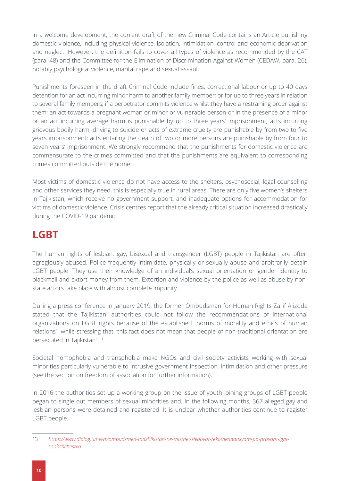In a welcome development, the current draft of the new Criminal Code contains an Article punishing domestic violence, including physical violence, isolation, intimidation, control and economic deprivation and neglect. However, the definition fails to cover all types of violence as recommended by the CAT (para. 48) and the Committee for the Elimination of Discrimination Against Women (CEDAW, para. 26), notably psychological violence, marital rape and sexual assault.

Punishments foreseen in the draft Criminal Code include fines, correctional labour or up to 40 days detention for an act incurring minor harm to another family member; or for up to three years in relation to several family members; if a perpetrator commits violence whilst they have a restraining order against them; an act towards a pregnant woman or minor or vulnerable person or in the presence of a minor or an act incurring average harm is punishable by up to three years' imprisonment; acts incurring grievous bodily harm, driving to suicide or acts of extreme cruelty are punishable by from two to five years imprisonment; acts entailing the death of two or more persons are punishable by from four to seven years' imprisonment. We strongly recommend that the punishments for domestic violence are commensurate to the crimes committed and that the punishments are equivalent to corresponding crimes committed outside the home.

Most victims of domestic violence do not have access to the shelters, psychosocial, legal counselling and other services they need, this is especially true in rural areas. There are only five women's shelters in Tajikistan, which receive no government support, and inadequate options for accommodation for victims of domestic violence. Crisis centres report that the already critical situation increased drastically during the COVID-19 pandemic.

### **LGBT**

The human rights of lesbian, gay, bisexual and transgender (LGBT) people in Tajikistan are often egregiously abused. Police frequently intimidate, physically or sexually abuse and arbitrarily detain LGBT people. They use their knowledge of an individual's sexual orientation or gender identity to blackmail and extort money from them. Extortion and violence by the police as well as abuse by nonstate actors take place with almost complete impunity.

During a press conference in January 2019, the former Ombudsman for Human Rights Zarif Alizoda stated that the Tajikistani authorities could not follow the recommendations of international organizations on LGBT rights because of the established "norms of morality and ethics of human relations", while stressing that "this fact does not mean that people of non-traditional orientation are persecuted in Tajikistan".13

Societal homophobia and transphobia make NGOs and civil society activists working with sexual minorities particularly vulnerable to intrusive government inspection, intimidation and other pressure (see the section on freedom of association for further information).

In 2016 the authorities set up a working group on the issue of youth joining groups of LGBT people began to single out members of sexual minorities and. In the following months, 367 alleged gay and lesbian persons were detained and registered. It is unclear whether authorities continue to register LGBT people.

<sup>13</sup> *[https://www.dialog.tj/news/ombudsmen-tadzhikistan-ne-mozhet-sledovat-rekomendatsiyam-po-pravam-lgbt](https://www.dialog.tj/news/ombudsmen-tadzhikistan-ne-mozhet-sledovat-rekomendatsiyam-po-pravam-lgbt-soobshchestva)[soobshchestva](https://www.dialog.tj/news/ombudsmen-tadzhikistan-ne-mozhet-sledovat-rekomendatsiyam-po-pravam-lgbt-soobshchestva)*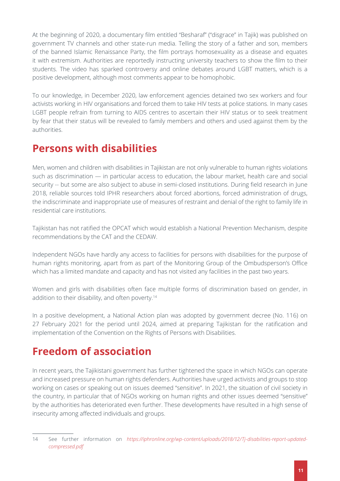At the beginning of 2020, a documentary film entitled "Besharaf" ("disgrace" in Tajik) was published on government TV channels and other state-run media. Telling the story of a father and son, members of the banned Islamic Renaissance Party, the film portrays homosexuality as a disease and equates it with extremism. Authorities are reportedly instructing university teachers to show the film to their students. The video has sparked controversy and online debates around LGBT matters, which is a positive development, although most comments appear to be homophobic.

To our knowledge, in December 2020, law enforcement agencies detained two sex workers and four activists working in HIV organisations and forced them to take HIV tests at police stations. In many cases LGBT people refrain from turning to AIDS centres to ascertain their HIV status or to seek treatment by fear that their status will be revealed to family members and others and used against them by the authorities.

### **Persons with disabilities**

Men, women and children with disabilities in Tajikistan are not only vulnerable to human rights violations such as discrimination — in particular access to education, the labour market, health care and social security -- but some are also subject to abuse in semi-closed institutions. During field research in June 2018, reliable sources told IPHR researchers about forced abortions, forced administration of drugs, the indiscriminate and inappropriate use of measures of restraint and denial of the right to family life in residential care institutions.

Tajikistan has not ratified the OPCAT which would establish a National Prevention Mechanism, despite recommendations by the CAT and the CEDAW.

Independent NGOs have hardly any access to facilities for persons with disabilities for the purpose of human rights monitoring, apart from as part of the Monitoring Group of the Ombudsperson's Office which has a limited mandate and capacity and has not visited any facilities in the past two years.

Women and girls with disabilities often face multiple forms of discrimination based on gender, in addition to their disability, and often poverty.14

In a positive development, a National Action plan was adopted by government decree (No. 116) on 27 February 2021 for the period until 2024, aimed at preparing Tajikistan for the ratification and implementation of the Convention on the Rights of Persons with Disabilities.

# **Freedom of association**

In recent years, the Tajikistani government has further tightened the space in which NGOs can operate and increased pressure on human rights defenders. Authorities have urged activists and groups to stop working on cases or speaking out on issues deemed "sensitive". In 2021, the situation of civil society in the country, in particular that of NGOs working on human rights and other issues deemed "sensitive" by the authorities has deteriorated even further. These developments have resulted in a high sense of insecurity among affected individuals and groups.

<sup>14</sup> See further information on *[https://iphronline.org/wp-content/uploads/2018/12/Tj-disabilities-report-updated](https://iphronline.org/wp-content/uploads/2018/12/Tj-disabilities-report-updated-compressed.pdf)[compressed.pdf](https://iphronline.org/wp-content/uploads/2018/12/Tj-disabilities-report-updated-compressed.pdf)*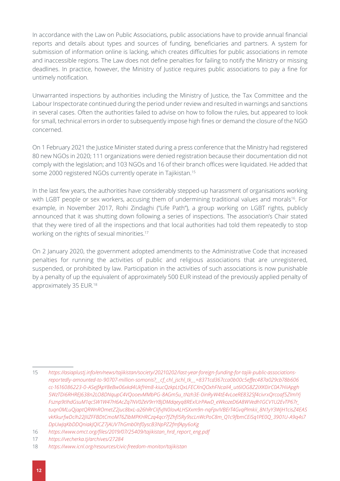In accordance with the Law on Public Associations, public associations have to provide annual financial reports and details about types and sources of funding, beneficiaries and partners. A system for submission of information online is lacking, which creates difficulties for public associations in remote and inaccessible regions. The Law does not define penalties for failing to notify the Ministry or missing deadlines. In practice, however, the Ministry of Justice requires public associations to pay a fine for untimely notification.

Unwarranted inspections by authorities including the Ministry of Justice, the Tax Committee and the Labour Inspectorate continued during the period under review and resulted in warnings and sanctions in several cases. Often the authorities failed to advise on how to follow the rules, but appeared to look for small, technical errors in order to subsequently impose high fines or demand the closure of the NGO concerned.

On 1 February 2021 the Justice Minister stated during a press conference that the Ministry had registered 80 new NGOs in 2020; 111 organizations were denied registration because their documentation did not comply with the legislation; and 103 NGOs and 16 of their branch offices were liquidated. He added that some 2000 registered NGOs currently operate in Tajikistan.<sup>15</sup>

In the last few years, the authorities have considerably stepped-up harassment of organisations working with LGBT people or sex workers, accusing them of undermining traditional values and morals<sup>16</sup>. For example, in November 2017, Rohi Zindaghi ("Life Path"), a group working on LGBT rights, publicly announced that it was shutting down following a series of inspections. The association's Chair stated that they were tired of all the inspections and that local authorities had told them repeatedly to stop working on the rights of sexual minorities.17

On 2 January 2020, the government adopted amendments to the Administrative Code that increased penalties for running the activities of public and religious associations that are unregistered, suspended, or prohibited by law. Participation in the activities of such associations is now punishable by a penalty of up the equivalent of approximately 500 EUR instead of the previously applied penalty of approximately 35 EUR.18

<sup>15</sup> *[https://asiaplustj.info/en/news/tajikistan/society/20210202/last-year-foreign-funding-for-tajik-public-associations](https://asiaplustj.info/en/news/tajikistan/society/20210202/last-year-foreign-funding-for-tajik-public-associations-reportedly-amounted-to-90707-million-somonis?__cf_chl_jschl_tk__=8371cd367cca0b00c5effec487a029cb78b606cc-1616086223-0-ASeJfApY8eBw06xkd4UkfHm8-kiucQzkpLtQxLFECXnQOxhFNcail4_ut6IOG8Z2IXK0irC0A7HiiApgh5WzTDi6RHREJ638n2LO8DNqupC4VQooevMMbPG-8AGm5u_tNzh3E-0inRyW4tE4vLoeRE832Sf4civrxQrcoaf5ZImIYjFsznp9tIhdGsuM1qcSW1W47H6AcZq7NV0ZeV9rrYBjDMdqeyq8RExlUrPAwD_eWkozeD6A8WVedh1GCV1U2EvTP67r_tuqn0MLuQjaptQRWnROmetZ2juc8bxL-a26hRrCIifvJN0lovALHSXxm9n-nqFpvIVBErT4GvqPlmkii_8N1yY3WjH1cisZ4EASvkKkurfwDclh22JIIZFFBDtCmoMT6ZIbMPKHRCzq4qcr7fZhfI5Ry9scLnWcPoC8m_Q1c9fbmCEiSq1PE0Q_3901U-A9q4s7DpUwJqKbDDQniakJQlCZ7jAUVThGmb0hf0yscB3NpPZ2fmfApy6oKg)[reportedly-amounted-to-90707-million-somonis?\\_\\_cf\\_chl\\_jschl\\_tk\\_\\_=8371cd367cca0b00c5effec487a029cb78b606](https://asiaplustj.info/en/news/tajikistan/society/20210202/last-year-foreign-funding-for-tajik-public-associations-reportedly-amounted-to-90707-million-somonis?__cf_chl_jschl_tk__=8371cd367cca0b00c5effec487a029cb78b606cc-1616086223-0-ASeJfApY8eBw06xkd4UkfHm8-kiucQzkpLtQxLFECXnQOxhFNcail4_ut6IOG8Z2IXK0irC0A7HiiApgh5WzTDi6RHREJ638n2LO8DNqupC4VQooevMMbPG-8AGm5u_tNzh3E-0inRyW4tE4vLoeRE832Sf4civrxQrcoaf5ZImIYjFsznp9tIhdGsuM1qcSW1W47H6AcZq7NV0ZeV9rrYBjDMdqeyq8RExlUrPAwD_eWkozeD6A8WVedh1GCV1U2EvTP67r_tuqn0MLuQjaptQRWnROmetZ2juc8bxL-a26hRrCIifvJN0lovALHSXxm9n-nqFpvIVBErT4GvqPlmkii_8N1yY3WjH1cisZ4EASvkKkurfwDclh22JIIZFFBDtCmoMT6ZIbMPKHRCzq4qcr7fZhfI5Ry9scLnWcPoC8m_Q1c9fbmCEiSq1PE0Q_3901U-A9q4s7DpUwJqKbDDQniakJQlCZ7jAUVThGmb0hf0yscB3NpPZ2fmfApy6oKg) [cc-1616086223-0-ASeJfApY8eBw06xkd4UkfHm8-kiucQzkpLtQxLFECXnQOxhFNcail4\\_ut6IOG8Z2IXK0irC0A7HiiApgh](https://asiaplustj.info/en/news/tajikistan/society/20210202/last-year-foreign-funding-for-tajik-public-associations-reportedly-amounted-to-90707-million-somonis?__cf_chl_jschl_tk__=8371cd367cca0b00c5effec487a029cb78b606cc-1616086223-0-ASeJfApY8eBw06xkd4UkfHm8-kiucQzkpLtQxLFECXnQOxhFNcail4_ut6IOG8Z2IXK0irC0A7HiiApgh5WzTDi6RHREJ638n2LO8DNqupC4VQooevMMbPG-8AGm5u_tNzh3E-0inRyW4tE4vLoeRE832Sf4civrxQrcoaf5ZImIYjFsznp9tIhdGsuM1qcSW1W47H6AcZq7NV0ZeV9rrYBjDMdqeyq8RExlUrPAwD_eWkozeD6A8WVedh1GCV1U2EvTP67r_tuqn0MLuQjaptQRWnROmetZ2juc8bxL-a26hRrCIifvJN0lovALHSXxm9n-nqFpvIVBErT4GvqPlmkii_8N1yY3WjH1cisZ4EASvkKkurfwDclh22JIIZFFBDtCmoMT6ZIbMPKHRCzq4qcr7fZhfI5Ry9scLnWcPoC8m_Q1c9fbmCEiSq1PE0Q_3901U-A9q4s7DpUwJqKbDDQniakJQlCZ7jAUVThGmb0hf0yscB3NpPZ2fmfApy6oKg) [5WzTDi6RHREJ638n2LO8DNqupC4VQooevMMbPG-8AGm5u\\_tNzh3E-0inRyW4tE4vLoeRE832Sf4civrxQrcoaf5ZImIYj](https://asiaplustj.info/en/news/tajikistan/society/20210202/last-year-foreign-funding-for-tajik-public-associations-reportedly-amounted-to-90707-million-somonis?__cf_chl_jschl_tk__=8371cd367cca0b00c5effec487a029cb78b606cc-1616086223-0-ASeJfApY8eBw06xkd4UkfHm8-kiucQzkpLtQxLFECXnQOxhFNcail4_ut6IOG8Z2IXK0irC0A7HiiApgh5WzTDi6RHREJ638n2LO8DNqupC4VQooevMMbPG-8AGm5u_tNzh3E-0inRyW4tE4vLoeRE832Sf4civrxQrcoaf5ZImIYjFsznp9tIhdGsuM1qcSW1W47H6AcZq7NV0ZeV9rrYBjDMdqeyq8RExlUrPAwD_eWkozeD6A8WVedh1GCV1U2EvTP67r_tuqn0MLuQjaptQRWnROmetZ2juc8bxL-a26hRrCIifvJN0lovALHSXxm9n-nqFpvIVBErT4GvqPlmkii_8N1yY3WjH1cisZ4EASvkKkurfwDclh22JIIZFFBDtCmoMT6ZIbMPKHRCzq4qcr7fZhfI5Ry9scLnWcPoC8m_Q1c9fbmCEiSq1PE0Q_3901U-A9q4s7DpUwJqKbDDQniakJQlCZ7jAUVThGmb0hf0yscB3NpPZ2fmfApy6oKg) [Fsznp9tIhdGsuM1qcSW1W47H6AcZq7NV0ZeV9rrYBjDMdqeyq8RExlUrPAwD\\_eWkozeD6A8WVedh1GCV1U2EvTP67r\\_](https://asiaplustj.info/en/news/tajikistan/society/20210202/last-year-foreign-funding-for-tajik-public-associations-reportedly-amounted-to-90707-million-somonis?__cf_chl_jschl_tk__=8371cd367cca0b00c5effec487a029cb78b606cc-1616086223-0-ASeJfApY8eBw06xkd4UkfHm8-kiucQzkpLtQxLFECXnQOxhFNcail4_ut6IOG8Z2IXK0irC0A7HiiApgh5WzTDi6RHREJ638n2LO8DNqupC4VQooevMMbPG-8AGm5u_tNzh3E-0inRyW4tE4vLoeRE832Sf4civrxQrcoaf5ZImIYjFsznp9tIhdGsuM1qcSW1W47H6AcZq7NV0ZeV9rrYBjDMdqeyq8RExlUrPAwD_eWkozeD6A8WVedh1GCV1U2EvTP67r_tuqn0MLuQjaptQRWnROmetZ2juc8bxL-a26hRrCIifvJN0lovALHSXxm9n-nqFpvIVBErT4GvqPlmkii_8N1yY3WjH1cisZ4EASvkKkurfwDclh22JIIZFFBDtCmoMT6ZIbMPKHRCzq4qcr7fZhfI5Ry9scLnWcPoC8m_Q1c9fbmCEiSq1PE0Q_3901U-A9q4s7DpUwJqKbDDQniakJQlCZ7jAUVThGmb0hf0yscB3NpPZ2fmfApy6oKg) [tuqn0MLuQjaptQRWnROmetZ2juc8bxL-a26hRrCIifvJN0lovALHSXxm9n-nqFpvIVBErT4GvqPlmkii\\_8N1yY3WjH1cisZ4EAS](https://asiaplustj.info/en/news/tajikistan/society/20210202/last-year-foreign-funding-for-tajik-public-associations-reportedly-amounted-to-90707-million-somonis?__cf_chl_jschl_tk__=8371cd367cca0b00c5effec487a029cb78b606cc-1616086223-0-ASeJfApY8eBw06xkd4UkfHm8-kiucQzkpLtQxLFECXnQOxhFNcail4_ut6IOG8Z2IXK0irC0A7HiiApgh5WzTDi6RHREJ638n2LO8DNqupC4VQooevMMbPG-8AGm5u_tNzh3E-0inRyW4tE4vLoeRE832Sf4civrxQrcoaf5ZImIYjFsznp9tIhdGsuM1qcSW1W47H6AcZq7NV0ZeV9rrYBjDMdqeyq8RExlUrPAwD_eWkozeD6A8WVedh1GCV1U2EvTP67r_tuqn0MLuQjaptQRWnROmetZ2juc8bxL-a26hRrCIifvJN0lovALHSXxm9n-nqFpvIVBErT4GvqPlmkii_8N1yY3WjH1cisZ4EASvkKkurfwDclh22JIIZFFBDtCmoMT6ZIbMPKHRCzq4qcr7fZhfI5Ry9scLnWcPoC8m_Q1c9fbmCEiSq1PE0Q_3901U-A9q4s7DpUwJqKbDDQniakJQlCZ7jAUVThGmb0hf0yscB3NpPZ2fmfApy6oKg) [vkKkurfwDclh22JIIZFFBDtCmoMT6ZIbMPKHRCzq4qcr7fZhfI5Ry9scLnWcPoC8m\\_Q1c9fbmCEiSq1PE0Q\\_3901U-A9q4s7](https://asiaplustj.info/en/news/tajikistan/society/20210202/last-year-foreign-funding-for-tajik-public-associations-reportedly-amounted-to-90707-million-somonis?__cf_chl_jschl_tk__=8371cd367cca0b00c5effec487a029cb78b606cc-1616086223-0-ASeJfApY8eBw06xkd4UkfHm8-kiucQzkpLtQxLFECXnQOxhFNcail4_ut6IOG8Z2IXK0irC0A7HiiApgh5WzTDi6RHREJ638n2LO8DNqupC4VQooevMMbPG-8AGm5u_tNzh3E-0inRyW4tE4vLoeRE832Sf4civrxQrcoaf5ZImIYjFsznp9tIhdGsuM1qcSW1W47H6AcZq7NV0ZeV9rrYBjDMdqeyq8RExlUrPAwD_eWkozeD6A8WVedh1GCV1U2EvTP67r_tuqn0MLuQjaptQRWnROmetZ2juc8bxL-a26hRrCIifvJN0lovALHSXxm9n-nqFpvIVBErT4GvqPlmkii_8N1yY3WjH1cisZ4EASvkKkurfwDclh22JIIZFFBDtCmoMT6ZIbMPKHRCzq4qcr7fZhfI5Ry9scLnWcPoC8m_Q1c9fbmCEiSq1PE0Q_3901U-A9q4s7DpUwJqKbDDQniakJQlCZ7jAUVThGmb0hf0yscB3NpPZ2fmfApy6oKg) [DpUwJqKbDDQniakJQlCZ7jAUVThGmb0hf0yscB3NpPZ2fmfApy6oKg](https://asiaplustj.info/en/news/tajikistan/society/20210202/last-year-foreign-funding-for-tajik-public-associations-reportedly-amounted-to-90707-million-somonis?__cf_chl_jschl_tk__=8371cd367cca0b00c5effec487a029cb78b606cc-1616086223-0-ASeJfApY8eBw06xkd4UkfHm8-kiucQzkpLtQxLFECXnQOxhFNcail4_ut6IOG8Z2IXK0irC0A7HiiApgh5WzTDi6RHREJ638n2LO8DNqupC4VQooevMMbPG-8AGm5u_tNzh3E-0inRyW4tE4vLoeRE832Sf4civrxQrcoaf5ZImIYjFsznp9tIhdGsuM1qcSW1W47H6AcZq7NV0ZeV9rrYBjDMdqeyq8RExlUrPAwD_eWkozeD6A8WVedh1GCV1U2EvTP67r_tuqn0MLuQjaptQRWnROmetZ2juc8bxL-a26hRrCIifvJN0lovALHSXxm9n-nqFpvIVBErT4GvqPlmkii_8N1yY3WjH1cisZ4EASvkKkurfwDclh22JIIZFFBDtCmoMT6ZIbMPKHRCzq4qcr7fZhfI5Ry9scLnWcPoC8m_Q1c9fbmCEiSq1PE0Q_3901U-A9q4s7DpUwJqKbDDQniakJQlCZ7jAUVThGmb0hf0yscB3NpPZ2fmfApy6oKg)*

<sup>16</sup> *[https://www.omct.org/files/2019/07/25409/tajikistan\\_hrd\\_report\\_eng.pdf](https://www.omct.org/files/2019/07/25409/tajikistan_hrd_report_eng.pdf)*

<sup>17</sup> *<https://vecherka.tj/archives/27284>*

<sup>18</sup> *<https://www.icnl.org/resources/civic-freedom-monitor/tajikistan>*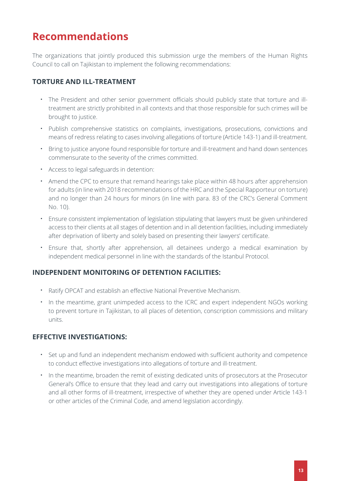### **Recommendations**

The organizations that jointly produced this submission urge the members of the Human Rights Council to call on Tajikistan to implement the following recommendations:

### **TORTURE AND ILL-TREATMENT**

- **·** The President and other senior government officials should publicly state that torture and illtreatment are strictly prohibited in all contexts and that those responsible for such crimes will be brought to justice.
- **·** Publish comprehensive statistics on complaints, investigations, prosecutions, convictions and means of redress relating to cases involving allegations of torture (Article 143-1) and ill-treatment.
- **·** Bring to justice anyone found responsible for torture and ill-treatment and hand down sentences commensurate to the severity of the crimes committed.
- **·** Access to legal safeguards in detention:
- **·** Amend the CPC to ensure that remand hearings take place within 48 hours after apprehension for adults (in line with 2018 recommendations of the HRC and the Special Rapporteur on torture) and no longer than 24 hours for minors (in line with para. 83 of the CRC's General Comment No. 10).
- **·** Ensure consistent implementation of legislation stipulating that lawyers must be given unhindered access to their clients at all stages of detention and in all detention facilities, including immediately after deprivation of liberty and solely based on presenting their lawyers' certificate.
- **·** Ensure that, shortly after apprehension, all detainees undergo a medical examination by independent medical personnel in line with the standards of the Istanbul Protocol.

#### **INDEPENDENT MONITORING OF DETENTION FACILITIES:**

- **·** Ratify OPCAT and establish an effective National Preventive Mechanism.
- **·** In the meantime, grant unimpeded access to the ICRC and expert independent NGOs working to prevent torture in Tajikistan, to all places of detention, conscription commissions and military units.

### **EFFECTIVE INVESTIGATIONS:**

- **·** Set up and fund an independent mechanism endowed with sufficient authority and competence to conduct effective investigations into allegations of torture and ill-treatment.
- **·** In the meantime, broaden the remit of existing dedicated units of prosecutors at the Prosecutor General's Office to ensure that they lead and carry out investigations into allegations of torture and all other forms of ill-treatment, irrespective of whether they are opened under Article 143-1 or other articles of the Criminal Code, and amend legislation accordingly.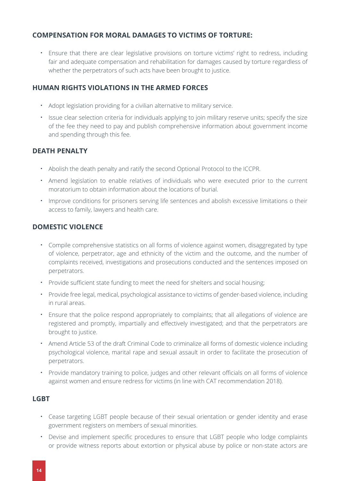#### **COMPENSATION FOR MORAL DAMAGES TO VICTIMS OF TORTURE:**

**·** Ensure that there are clear legislative provisions on torture victims' right to redress, including fair and adequate compensation and rehabilitation for damages caused by torture regardless of whether the perpetrators of such acts have been brought to justice.

#### **HUMAN RIGHTS VIOLATIONS IN THE ARMED FORCES**

- **·** Adopt legislation providing for a civilian alternative to military service.
- **·** Issue clear selection criteria for individuals applying to join military reserve units; specify the size of the fee they need to pay and publish comprehensive information about government income and spending through this fee.

#### **DEATH PENALTY**

- **·** Abolish the death penalty and ratify the second Optional Protocol to the ICCPR.
- **·** Amend legislation to enable relatives of individuals who were executed prior to the current moratorium to obtain information about the locations of burial.
- **·** Improve conditions for prisoners serving life sentences and abolish excessive limitations o their access to family, lawyers and health care.

#### **DOMESTIC VIOLENCE**

- **·** Compile comprehensive statistics on all forms of violence against women, disaggregated by type of violence, perpetrator, age and ethnicity of the victim and the outcome, and the number of complaints received, investigations and prosecutions conducted and the sentences imposed on perpetrators.
- **·** Provide sufficient state funding to meet the need for shelters and social housing;
- **·** Provide free legal, medical, psychological assistance to victims of gender-based violence, including in rural areas.
- **·** Ensure that the police respond appropriately to complaints; that all allegations of violence are registered and promptly, impartially and effectively investigated; and that the perpetrators are brought to justice.
- **·** Amend Article 53 of the draft Criminal Code to criminalize all forms of domestic violence including psychological violence, marital rape and sexual assault in order to facilitate the prosecution of perpetrators.
- **·** Provide mandatory training to police, judges and other relevant officials on all forms of violence against women and ensure redress for victims (in line with CAT recommendation 2018).

#### **LGBT**

- **·** Cease targeting LGBT people because of their sexual orientation or gender identity and erase government registers on members of sexual minorities.
- **·** Devise and implement specific procedures to ensure that LGBT people who lodge complaints or provide witness reports about extortion or physical abuse by police or non-state actors are